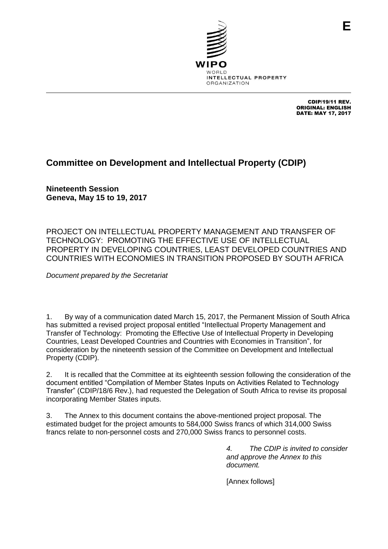

CDIP/19/11 REV. ORIGINAL: ENGLISH DATE: MAY 17, 2017

**E**

# **Committee on Development and Intellectual Property (CDIP)**

**Nineteenth Session Geneva, May 15 to 19, 2017**

PROJECT ON INTELLECTUAL PROPERTY MANAGEMENT AND TRANSFER OF TECHNOLOGY: PROMOTING THE EFFECTIVE USE OF INTELLECTUAL PROPERTY IN DEVELOPING COUNTRIES, LEAST DEVELOPED COUNTRIES AND COUNTRIES WITH ECONOMIES IN TRANSITION PROPOSED BY SOUTH AFRICA

*Document prepared by the Secretariat*

1. By way of a communication dated March 15, 2017, the Permanent Mission of South Africa has submitted a revised project proposal entitled "Intellectual Property Management and Transfer of Technology: Promoting the Effective Use of Intellectual Property in Developing Countries, Least Developed Countries and Countries with Economies in Transition", for consideration by the nineteenth session of the Committee on Development and Intellectual Property (CDIP).

2. It is recalled that the Committee at its eighteenth session following the consideration of the document entitled "Compilation of Member States Inputs on Activities Related to Technology Transfer" (CDIP/18/6 Rev.), had requested the Delegation of South Africa to revise its proposal incorporating Member States inputs.

3. The Annex to this document contains the above-mentioned project proposal. The estimated budget for the project amounts to 584,000 Swiss francs of which 314,000 Swiss francs relate to non-personnel costs and 270,000 Swiss francs to personnel costs.

> *4. The CDIP is invited to consider and approve the Annex to this document.*

[Annex follows]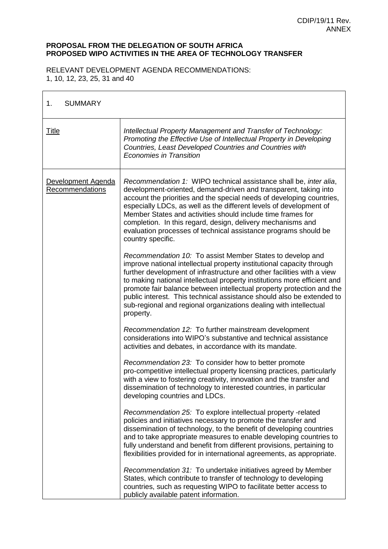### **PROPOSAL FROM THE DELEGATION OF SOUTH AFRICA PROPOSED WIPO ACTIVITIES IN THE AREA OF TECHNOLOGY TRANSFER**

RELEVANT DEVELOPMENT AGENDA RECOMMENDATIONS: 1, 10, 12, 23, 25, 31 and 40

| 1.<br><b>SUMMARY</b>                  |                                                                                                                                                                                                                                                                                                                                                                                                                                                                                                                              |
|---------------------------------------|------------------------------------------------------------------------------------------------------------------------------------------------------------------------------------------------------------------------------------------------------------------------------------------------------------------------------------------------------------------------------------------------------------------------------------------------------------------------------------------------------------------------------|
| <u>Title</u>                          | Intellectual Property Management and Transfer of Technology:<br>Promoting the Effective Use of Intellectual Property in Developing<br>Countries, Least Developed Countries and Countries with<br><b>Economies in Transition</b>                                                                                                                                                                                                                                                                                              |
| Development Agenda<br>Recommendations | Recommendation 1: WIPO technical assistance shall be, inter alia,<br>development-oriented, demand-driven and transparent, taking into<br>account the priorities and the special needs of developing countries,<br>especially LDCs, as well as the different levels of development of<br>Member States and activities should include time frames for<br>completion. In this regard, design, delivery mechanisms and<br>evaluation processes of technical assistance programs should be<br>country specific.                   |
|                                       | Recommendation 10: To assist Member States to develop and<br>improve national intellectual property institutional capacity through<br>further development of infrastructure and other facilities with a view<br>to making national intellectual property institutions more efficient and<br>promote fair balance between intellectual property protection and the<br>public interest. This technical assistance should also be extended to<br>sub-regional and regional organizations dealing with intellectual<br>property. |
|                                       | Recommendation 12: To further mainstream development<br>considerations into WIPO's substantive and technical assistance<br>activities and debates, in accordance with its mandate.                                                                                                                                                                                                                                                                                                                                           |
|                                       | Recommendation 23: To consider how to better promote<br>pro-competitive intellectual property licensing practices, particularly<br>with a view to fostering creativity, innovation and the transfer and<br>dissemination of technology to interested countries, in particular<br>developing countries and LDCs.                                                                                                                                                                                                              |
|                                       | Recommendation 25: To explore intellectual property -related<br>policies and initiatives necessary to promote the transfer and<br>dissemination of technology, to the benefit of developing countries<br>and to take appropriate measures to enable developing countries to<br>fully understand and benefit from different provisions, pertaining to<br>flexibilities provided for in international agreements, as appropriate.                                                                                              |
|                                       | Recommendation 31: To undertake initiatives agreed by Member<br>States, which contribute to transfer of technology to developing<br>countries, such as requesting WIPO to facilitate better access to<br>publicly available patent information.                                                                                                                                                                                                                                                                              |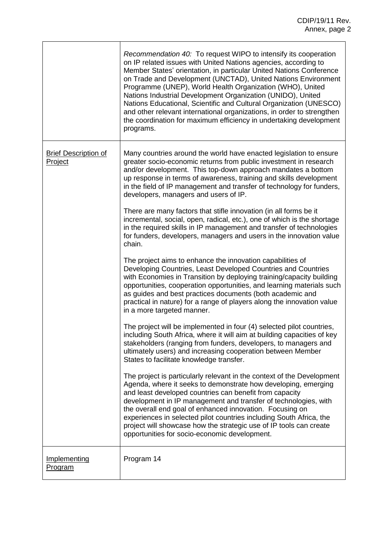|                                        | Recommendation 40: To request WIPO to intensify its cooperation<br>on IP related issues with United Nations agencies, according to<br>Member States' orientation, in particular United Nations Conference<br>on Trade and Development (UNCTAD), United Nations Environment<br>Programme (UNEP), World Health Organization (WHO), United<br>Nations Industrial Development Organization (UNIDO), United<br>Nations Educational, Scientific and Cultural Organization (UNESCO)<br>and other relevant international organizations, in order to strengthen<br>the coordination for maximum efficiency in undertaking development<br>programs. |
|----------------------------------------|-------------------------------------------------------------------------------------------------------------------------------------------------------------------------------------------------------------------------------------------------------------------------------------------------------------------------------------------------------------------------------------------------------------------------------------------------------------------------------------------------------------------------------------------------------------------------------------------------------------------------------------------|
| <b>Brief Description of</b><br>Project | Many countries around the world have enacted legislation to ensure<br>greater socio-economic returns from public investment in research<br>and/or development. This top-down approach mandates a bottom<br>up response in terms of awareness, training and skills development<br>in the field of IP management and transfer of technology for funders,<br>developers, managers and users of IP.                                                                                                                                                                                                                                           |
|                                        | There are many factors that stifle innovation (in all forms be it<br>incremental, social, open, radical, etc.), one of which is the shortage<br>in the required skills in IP management and transfer of technologies<br>for funders, developers, managers and users in the innovation value<br>chain.                                                                                                                                                                                                                                                                                                                                     |
|                                        | The project aims to enhance the innovation capabilities of<br>Developing Countries, Least Developed Countries and Countries<br>with Economies in Transition by deploying training/capacity building<br>opportunities, cooperation opportunities, and learning materials such<br>as guides and best practices documents (both academic and<br>practical in nature) for a range of players along the innovation value<br>in a more targeted manner.                                                                                                                                                                                         |
|                                        | The project will be implemented in four (4) selected pilot countries,<br>including South Africa, where it will aim at building capacities of key<br>stakeholders (ranging from funders, developers, to managers and<br>ultimately users) and increasing cooperation between Member<br>States to facilitate knowledge transfer.                                                                                                                                                                                                                                                                                                            |
|                                        | The project is particularly relevant in the context of the Development<br>Agenda, where it seeks to demonstrate how developing, emerging<br>and least developed countries can benefit from capacity<br>development in IP management and transfer of technologies, with<br>the overall end goal of enhanced innovation. Focusing on<br>experiences in selected pilot countries including South Africa, the<br>project will showcase how the strategic use of IP tools can create<br>opportunities for socio-economic development.                                                                                                          |
| Implementing<br><u>Program</u>         | Program 14                                                                                                                                                                                                                                                                                                                                                                                                                                                                                                                                                                                                                                |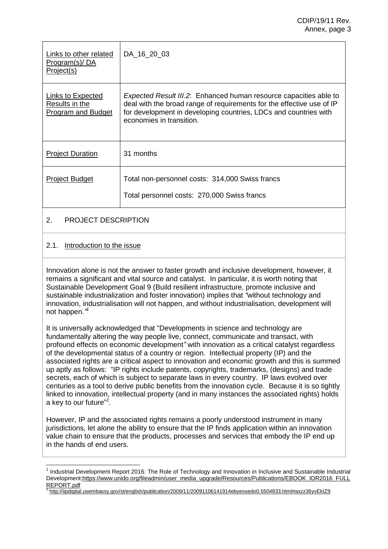#### CDIP/19/11 Rev. Annex, page 3

| Links to other related<br>Program(s)/DA<br>Project(s)            | DA 16 20 03                                                                                                                                                                                                                                        |
|------------------------------------------------------------------|----------------------------------------------------------------------------------------------------------------------------------------------------------------------------------------------------------------------------------------------------|
| Links to Expected<br>Results in the<br><b>Program and Budget</b> | <i>Expected Result III.2</i> : Enhanced human resource capacities able to<br>deal with the broad range of requirements for the effective use of IP<br>for development in developing countries, LDCs and countries with<br>economies in transition. |
| <b>Project Duration</b>                                          | 31 months                                                                                                                                                                                                                                          |
| <b>Project Budget</b>                                            | Total non-personnel costs: 314,000 Swiss francs<br>Total personnel costs: 270,000 Swiss francs                                                                                                                                                     |
|                                                                  |                                                                                                                                                                                                                                                    |

### 2. PROJECT DESCRIPTION

### 2.1. Introduction to the issue

 $\overline{a}$ 

Innovation alone is not the answer to faster growth and inclusive development, however, it remains a significant and vital source and catalyst. In particular, it is worth noting that Sustainable Development Goal 9 (Build resilient infrastructure, promote inclusive and sustainable industrialization and foster innovation) implies that *"*without technology and innovation, industrialisation will not happen, and without industrialisation, development will not happen.*" 1*

It is universally acknowledged that "Developments in science and technology are fundamentally altering the way people live, connect, communicate and transact, with profound effects on economic development*"* with innovation as a critical catalyst regardless of the developmental status of a country or region. Intellectual property (IP) and the associated rights are a critical aspect to innovation and economic growth and this is summed up aptly as follows: "IP rights include patents, copyrights, trademarks, (designs) and trade secrets, each of which is subject to separate laws in every country. IP laws evolved over centuries as a tool to derive public benefits from the innovation cycle. Because it is so tightly linked to innovation, intellectual property (and in many instances the associated rights) holds a key to our future"<sup>2</sup>.

However, IP and the associated rights remains a poorly understood instrument in many jurisdictions, let alone the ability to ensure that the IP finds application within an innovation value chain to ensure that the products, processes and services that embody the IP end up in the hands of end users.

2 <http://iipdigital.usembassy.gov/st/english/publication/2009/11/20091106141914ebyessedo0.5504833.html#axzz36yvEkIZ9>

<sup>&</sup>lt;sup>1</sup> Industrial Development Report 2016: The Role of Technology and Innovation in Inclusive and Sustainable Industrial Developmen[t;https://www.unido.org/fileadmin/user\\_media\\_upgrade/Resources/Publications/EBOOK\\_IDR2016\\_FULL](https://www.unido.org/fileadmin/user_media_upgrade/Resources/Publications/EBOOK_IDR2016_FULLREPORT.pdf) [REPORT.pdf](https://www.unido.org/fileadmin/user_media_upgrade/Resources/Publications/EBOOK_IDR2016_FULLREPORT.pdf)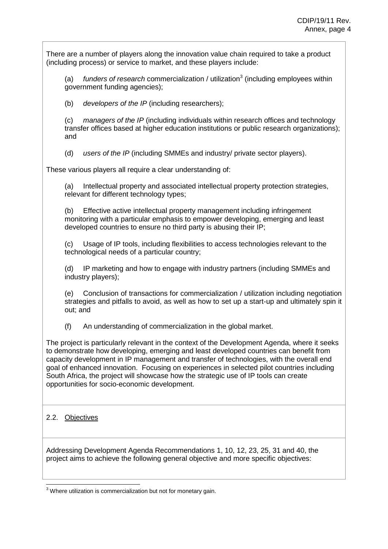There are a number of players along the innovation value chain required to take a product (including process) or service to market, and these players include:

(a) funders of research commercialization / utilization<sup>3</sup> (including employees within government funding agencies);

(b) *developers of the IP* (including researchers);

(c) *managers of the IP* (including individuals within research offices and technology transfer offices based at higher education institutions or public research organizations); and

(d) *users of the IP* (including SMMEs and industry/ private sector players).

These various players all require a clear understanding of:

(a) Intellectual property and associated intellectual property protection strategies, relevant for different technology types;

(b) Effective active intellectual property management including infringement monitoring with a particular emphasis to empower developing, emerging and least developed countries to ensure no third party is abusing their IP;

(c) Usage of IP tools, including flexibilities to access technologies relevant to the technological needs of a particular country;

(d) IP marketing and how to engage with industry partners (including SMMEs and industry players);

(e) Conclusion of transactions for commercialization / utilization including negotiation strategies and pitfalls to avoid, as well as how to set up a start-up and ultimately spin it out; and

(f) An understanding of commercialization in the global market.

The project is particularly relevant in the context of the Development Agenda, where it seeks to demonstrate how developing, emerging and least developed countries can benefit from capacity development in IP management and transfer of technologies, with the overall end goal of enhanced innovation. Focusing on experiences in selected pilot countries including South Africa, the project will showcase how the strategic use of IP tools can create opportunities for socio-economic development.

### 2.2. Objectives

Addressing Development Agenda Recommendations 1, 10, 12, 23, 25, 31 and 40, the project aims to achieve the following general objective and more specific objectives:

 $3$  Where utilization is commercialization but not for monetary gain.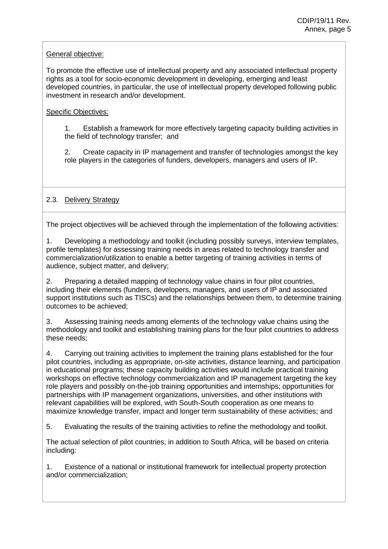### General objective:

To promote the effective use of intellectual property and any associated intellectual property rights as a tool for socio-economic development in developing, emerging and least developed countries, in particular, the use of intellectual property developed following public investment in research and/or development.

### Specific Objectives:

1. Establish a framework for more effectively targeting capacity building activities in the field of technology transfer; and

2. Create capacity in IP management and transfer of technologies amongst the key role players in the categories of funders, developers, managers and users of IP.

### 2.3. Delivery Strategy

The project objectives will be achieved through the implementation of the following activities:

1. Developing a methodology and toolkit (including possibly surveys, interview templates, profile templates) for assessing training needs in areas related to technology transfer and commercialization/utilization to enable a better targeting of training activities in terms of audience, subject matter, and delivery;

2. Preparing a detailed mapping of technology value chains in four pilot countries, including their elements (funders, developers, managers, and users of IP and associated support institutions such as TISCs) and the relationships between them, to determine training outcomes to be achieved;

3. Assessing training needs among elements of the technology value chains using the methodology and toolkit and establishing training plans for the four pilot countries to address these needs;

4. Carrying out training activities to implement the training plans established for the four pilot countries, including as appropriate, on-site activities, distance learning, and participation in educational programs; these capacity building activities would include practical training workshops on effective technology commercialization and IP management targeting the key role players and possibly on-the-job training opportunities and internships; opportunities for partnerships with IP management organizations, universities, and other institutions with relevant capabilities will be explored, with South-South cooperation as one means to maximize knowledge transfer, impact and longer term sustainability of these activities; and

5. Evaluating the results of the training activities to refine the methodology and toolkit.

The actual selection of pilot countries, in addition to South Africa, will be based on criteria including:

1. Existence of a national or institutional framework for intellectual property protection and/or commercialization;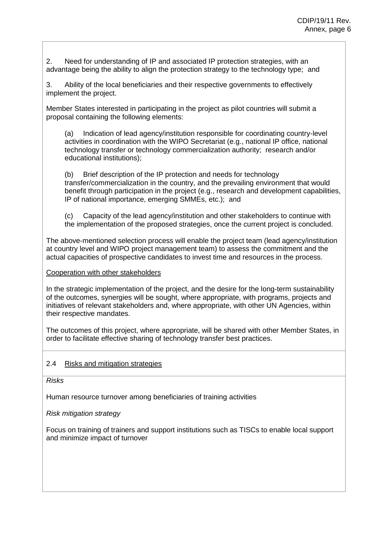2. Need for understanding of IP and associated IP protection strategies, with an advantage being the ability to align the protection strategy to the technology type; and

3. Ability of the local beneficiaries and their respective governments to effectively implement the project.

Member States interested in participating in the project as pilot countries will submit a proposal containing the following elements:

(a) Indication of lead agency/institution responsible for coordinating country-level activities in coordination with the WIPO Secretariat (e.g., national IP office, national technology transfer or technology commercialization authority; research and/or educational institutions);

(b) Brief description of the IP protection and needs for technology transfer/commercialization in the country, and the prevailing environment that would benefit through participation in the project (e.g., research and development capabilities, IP of national importance, emerging SMMEs, etc.); and

(c) Capacity of the lead agency/institution and other stakeholders to continue with the implementation of the proposed strategies, once the current project is concluded.

The above-mentioned selection process will enable the project team (lead agency/institution at country level and WIPO project management team) to assess the commitment and the actual capacities of prospective candidates to invest time and resources in the process.

Cooperation with other stakeholders

In the strategic implementation of the project, and the desire for the long-term sustainability of the outcomes, synergies will be sought, where appropriate, with programs, projects and initiatives of relevant stakeholders and, where appropriate, with other UN Agencies, within their respective mandates.

The outcomes of this project, where appropriate, will be shared with other Member States, in order to facilitate effective sharing of technology transfer best practices.

### 2.4 Risks and mitigation strategies

*Risks*

Human resource turnover among beneficiaries of training activities

*Risk mitigation strategy*

Focus on training of trainers and support institutions such as TISCs to enable local support and minimize impact of turnover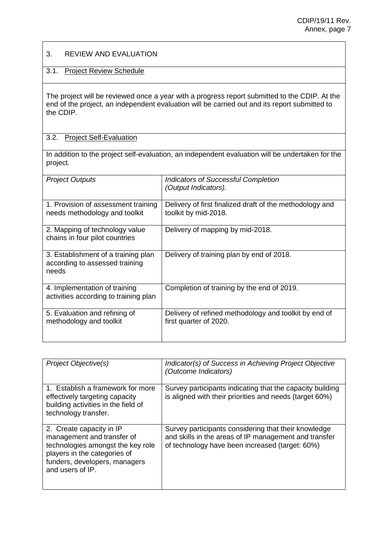### 3. REVIEW AND EVALUATION

### 3.1. Project Review Schedule

The project will be reviewed once a year with a progress report submitted to the CDIP. At the end of the project, an independent evaluation will be carried out and its report submitted to the CDIP.

#### 3.2. Project Self-Evaluation

In addition to the project self-evaluation, an independent evaluation will be undertaken for the project.

| <b>Project Outputs</b>                                                         | <b>Indicators of Successful Completion</b><br>(Output Indicators).               |
|--------------------------------------------------------------------------------|----------------------------------------------------------------------------------|
| 1. Provision of assessment training<br>needs methodology and toolkit           | Delivery of first finalized draft of the methodology and<br>toolkit by mid-2018. |
| 2. Mapping of technology value<br>chains in four pilot countries               | Delivery of mapping by mid-2018.                                                 |
| 3. Establishment of a training plan<br>according to assessed training<br>needs | Delivery of training plan by end of 2018.                                        |
| 4. Implementation of training<br>activities according to training plan         | Completion of training by the end of 2019.                                       |
| 5. Evaluation and refining of<br>methodology and toolkit                       | Delivery of refined methodology and toolkit by end of<br>first quarter of 2020.  |

| Project Objective(s)                                                                                                                                                             | Indicator(s) of Success in Achieving Project Objective<br>(Outcome Indicators)                                                                                   |
|----------------------------------------------------------------------------------------------------------------------------------------------------------------------------------|------------------------------------------------------------------------------------------------------------------------------------------------------------------|
| 1. Establish a framework for more<br>effectively targeting capacity<br>building activities in the field of<br>technology transfer.                                               | Survey participants indicating that the capacity building<br>is aligned with their priorities and needs (target 60%)                                             |
| 2. Create capacity in IP<br>management and transfer of<br>technologies amongst the key role<br>players in the categories of<br>funders, developers, managers<br>and users of IP. | Survey participants considering that their knowledge<br>and skills in the areas of IP management and transfer<br>of technology have been increased (target: 60%) |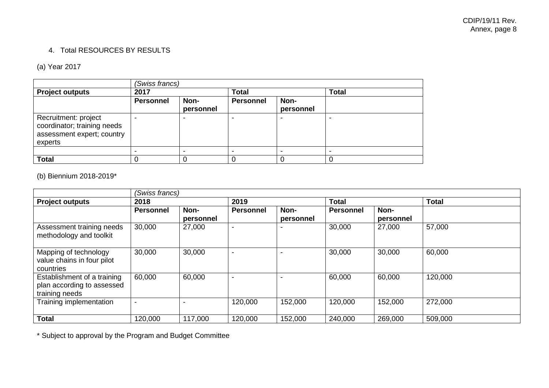## 4. Total RESOURCES BY RESULTS

## (a) Year 2017

|                                                                                              | (Swiss francs)   |                   |                  |                   |              |  |
|----------------------------------------------------------------------------------------------|------------------|-------------------|------------------|-------------------|--------------|--|
| <b>Project outputs</b>                                                                       | 2017             |                   | <b>Total</b>     |                   | <b>Total</b> |  |
|                                                                                              | <b>Personnel</b> | Non-<br>personnel | <b>Personnel</b> | Non-<br>personnel |              |  |
| Recruitment: project<br>coordinator; training needs<br>assessment expert; country<br>experts |                  |                   |                  |                   |              |  |
|                                                                                              |                  |                   | -                |                   | -            |  |
| <b>Total</b>                                                                                 |                  |                   |                  |                   |              |  |

### (b) Biennium 2018-2019\*

|                                                                             |                  | (Swiss francs)    |                          |                   |                  |                   |              |  |
|-----------------------------------------------------------------------------|------------------|-------------------|--------------------------|-------------------|------------------|-------------------|--------------|--|
| <b>Project outputs</b>                                                      | 2018             |                   | 2019                     |                   | <b>Total</b>     |                   | <b>Total</b> |  |
|                                                                             | <b>Personnel</b> | Non-<br>personnel | <b>Personnel</b>         | Non-<br>personnel | <b>Personnel</b> | Non-<br>personnel |              |  |
| Assessment training needs<br>methodology and toolkit                        | 30,000           | 27,000            | $\overline{\phantom{0}}$ |                   | 30,000           | 27,000            | 57,000       |  |
| Mapping of technology<br>value chains in four pilot<br>countries            | 30,000           | 30,000            | $\overline{\phantom{a}}$ |                   | 30,000           | 30,000            | 60,000       |  |
| Establishment of a training<br>plan according to assessed<br>training needs | 60,000           | 60,000            | $\overline{\phantom{a}}$ |                   | 60,000           | 60,000            | 120,000      |  |
| Training implementation                                                     |                  |                   | 120,000                  | 152,000           | 120,000          | 152,000           | 272,000      |  |
| <b>Total</b>                                                                | 120,000          | 117,000           | 120,000                  | 152,000           | 240,000          | 269,000           | 509,000      |  |

\* Subject to approval by the Program and Budget Committee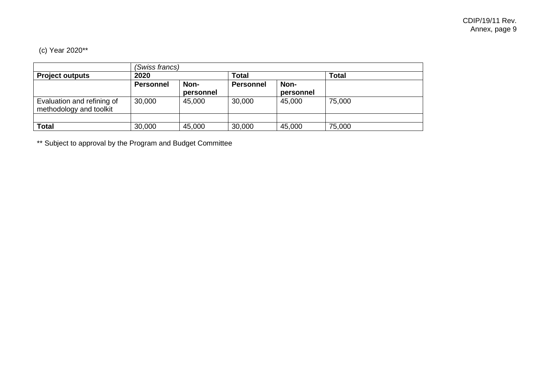# (c) Year 2020\*\*

|                            | (Swiss francs)   |           |                  |           |              |  |
|----------------------------|------------------|-----------|------------------|-----------|--------------|--|
| <b>Project outputs</b>     | 2020             |           | Total            |           | <b>Total</b> |  |
|                            | <b>Personnel</b> | Non-      | <b>Personnel</b> | Non-      |              |  |
|                            |                  | personnel |                  | personnel |              |  |
| Evaluation and refining of | 30,000           | 45,000    | 30,000           | 45,000    | 75,000       |  |
| methodology and toolkit    |                  |           |                  |           |              |  |
|                            |                  |           |                  |           |              |  |
| <b>Total</b>               | 30,000           | 45,000    | 30,000           | 45,000    | 75,000       |  |

\*\* Subject to approval by the Program and Budget Committee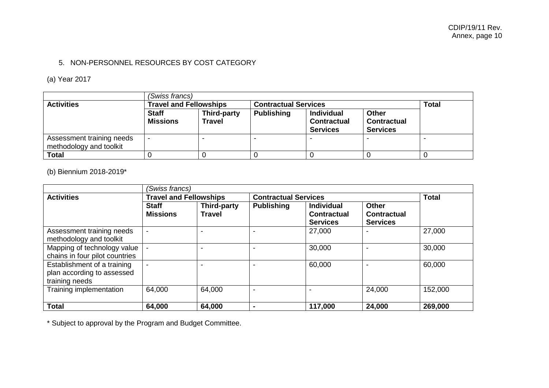## 5. NON-PERSONNEL RESOURCES BY COST CATEGORY

## (a) Year 2017

| (Swiss francs)                                       |                                 |                                                              |                   |                                                            |                                                       |              |
|------------------------------------------------------|---------------------------------|--------------------------------------------------------------|-------------------|------------------------------------------------------------|-------------------------------------------------------|--------------|
| <b>Activities</b>                                    |                                 | <b>Travel and Fellowships</b><br><b>Contractual Services</b> |                   |                                                            |                                                       | <b>Total</b> |
|                                                      | <b>Staff</b><br><b>Missions</b> | Third-party<br><b>Travel</b>                                 | <b>Publishing</b> | <b>Individual</b><br><b>Contractual</b><br><b>Services</b> | <b>Other</b><br><b>Contractual</b><br><b>Services</b> |              |
| Assessment training needs<br>methodology and toolkit | $\overline{\phantom{0}}$        |                                                              |                   |                                                            |                                                       |              |
| <b>Total</b>                                         |                                 |                                                              |                   |                                                            |                                                       |              |

## (b) Biennium 2018-2019\*

|                                                                             | (Swiss francs)                  |                                     |                             |                                                            |                                                       |         |  |  |
|-----------------------------------------------------------------------------|---------------------------------|-------------------------------------|-----------------------------|------------------------------------------------------------|-------------------------------------------------------|---------|--|--|
| <b>Activities</b>                                                           | <b>Travel and Fellowships</b>   |                                     | <b>Contractual Services</b> | <b>Total</b>                                               |                                                       |         |  |  |
|                                                                             | <b>Staff</b><br><b>Missions</b> | <b>Third-party</b><br><b>Travel</b> | <b>Publishing</b>           | <b>Individual</b><br><b>Contractual</b><br><b>Services</b> | <b>Other</b><br><b>Contractual</b><br><b>Services</b> |         |  |  |
| Assessment training needs<br>methodology and toolkit                        |                                 |                                     |                             | 27,000                                                     |                                                       | 27,000  |  |  |
| Mapping of technology value<br>chains in four pilot countries               |                                 |                                     |                             | 30,000                                                     |                                                       | 30,000  |  |  |
| Establishment of a training<br>plan according to assessed<br>training needs |                                 |                                     |                             | 60,000                                                     |                                                       | 60,000  |  |  |
| Training implementation                                                     | 64,000                          | 64,000                              |                             | -                                                          | 24,000                                                | 152,000 |  |  |
| <b>Total</b>                                                                | 64,000                          | 64,000                              |                             | 117,000                                                    | 24,000                                                | 269,000 |  |  |

\* Subject to approval by the Program and Budget Committee.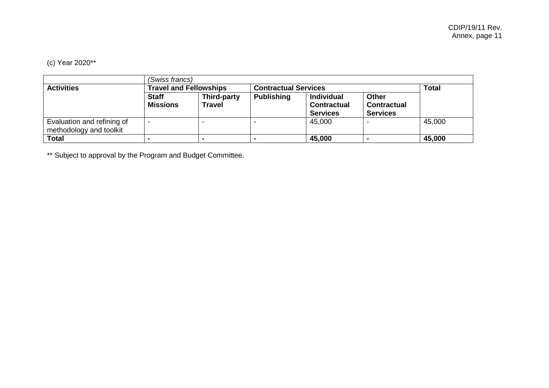# (c) Year 2020\*\*

|                                                       | (Swiss francs)                  |                              |                             |                                                            |                                                       |        |  |
|-------------------------------------------------------|---------------------------------|------------------------------|-----------------------------|------------------------------------------------------------|-------------------------------------------------------|--------|--|
| <b>Activities</b>                                     | <b>Travel and Fellowships</b>   |                              | <b>Contractual Services</b> |                                                            | <b>Total</b>                                          |        |  |
|                                                       | <b>Staff</b><br><b>Missions</b> | Third-party<br><b>Travel</b> | <b>Publishing</b>           | <b>Individual</b><br><b>Contractual</b><br><b>Services</b> | <b>Other</b><br><b>Contractual</b><br><b>Services</b> |        |  |
| Evaluation and refining of<br>methodology and toolkit | -                               |                              |                             | 45,000                                                     |                                                       | 45,000 |  |
| Total                                                 |                                 |                              |                             | 45,000                                                     |                                                       | 45,000 |  |

\*\* Subject to approval by the Program and Budget Committee.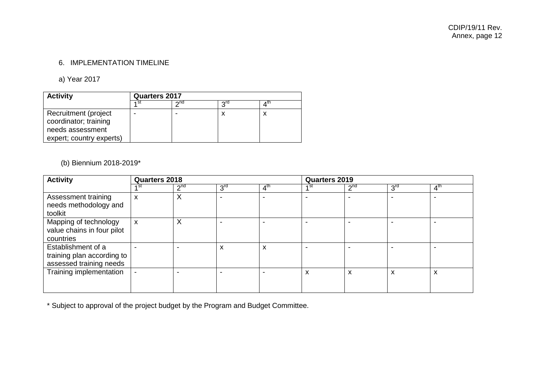## 6. IMPLEMENTATION TIMELINE

### a) Year 2017

| <b>Activity</b>                               | Quarters 2017 |                            |     |       |  |
|-----------------------------------------------|---------------|----------------------------|-----|-------|--|
|                                               | ⊿st           | $\mathsf{D}^{\mathsf{nd}}$ | ord | 4 U I |  |
| Recruitment (project<br>coordinator; training |               |                            | y   |       |  |
| needs assessment<br>expert; country experts)  |               |                            |     |       |  |

## (b) Biennium 2018-2019\*

| <b>Activity</b>                                                             | Quarters 2018 |                 |                 |                 | <b>Quarters 2019</b> |                   |                 |                 |
|-----------------------------------------------------------------------------|---------------|-----------------|-----------------|-----------------|----------------------|-------------------|-----------------|-----------------|
|                                                                             | ⊿ st          | 2 <sup>nd</sup> | 3 <sup>rd</sup> | 4 <sup>th</sup> | 4 St                 | $2^{nd}$          | 3 <sup>rd</sup> | 4 <sup>th</sup> |
| Assessment training<br>needs methodology and<br>toolkit                     | x             | $\times$        | -               | -               | ۰                    |                   | -               |                 |
| Mapping of technology<br>value chains in four pilot<br>countries            | X             | X               |                 |                 |                      |                   |                 |                 |
| Establishment of a<br>training plan according to<br>assessed training needs |               |                 | x               | X               |                      |                   |                 |                 |
| Training implementation                                                     |               |                 |                 |                 | X                    | $\mathbf{v}$<br>ᄉ | X               | X               |

\* Subject to approval of the project budget by the Program and Budget Committee.